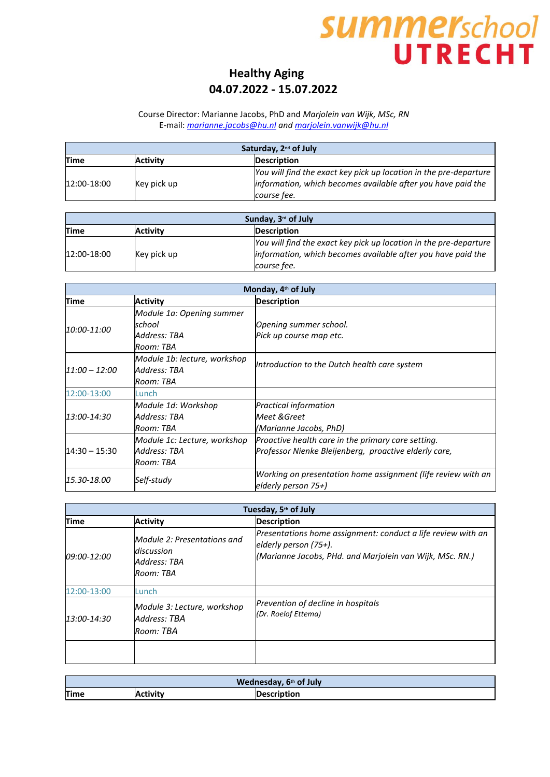### **Healthy Aging 04.07.2022 - 15.07.2022**

#### Course Director: Marianne Jacobs, PhD and *Marjolein van Wijk, MSc, RN* E-mail: *[marianne.jacobs@hu.nl](mailto:marianne.jacobs@hu.nl) and [marjolein.vanwijk@hu.nl](mailto:marjolein.vanwijk@hu.nl)*

| Saturday, 2 <sup>nd</sup> of July |                 |                                                                                                                                                  |
|-----------------------------------|-----------------|--------------------------------------------------------------------------------------------------------------------------------------------------|
| Time                              | <b>Activity</b> | <b>Description</b>                                                                                                                               |
| 12:00-18:00                       | Key pick up     | You will find the exact key pick up location in the pre-departure<br>information, which becomes available after you have paid the<br>course fee. |

| Sunday, 3 <sup>rd</sup> of July |             |                                                                   |
|---------------------------------|-------------|-------------------------------------------------------------------|
| Time                            | Activity    | <b>Description</b>                                                |
| 12:00-18:00                     |             | You will find the exact key pick up location in the pre-departure |
|                                 | Key pick up | information, which becomes available after you have paid the      |
|                                 |             | course fee.                                                       |

| Monday, 4 <sup>th</sup> of July |                              |                                                              |
|---------------------------------|------------------------------|--------------------------------------------------------------|
| Time                            | <b>Activity</b>              | <b>Description</b>                                           |
|                                 | Module 1a: Opening summer    |                                                              |
| 10:00-11:00                     | lschool                      | Opening summer school.                                       |
|                                 | Address: TBA                 | Pick up course map etc.                                      |
|                                 | Room: TBA                    |                                                              |
|                                 | Module 1b: lecture, workshop | Introduction to the Dutch health care system                 |
| $11:00 - 12:00$                 | Address: TBA                 |                                                              |
|                                 | Room: TBA                    |                                                              |
| 12:00-13:00                     | Lunch                        |                                                              |
|                                 | Module 1d: Workshop          | <b>Practical information</b>                                 |
| 13:00-14:30                     | Address: TBA                 | Meet & Greet                                                 |
|                                 | Room: TBA                    | (Marianne Jacobs, PhD)                                       |
|                                 | Module 1c: Lecture, workshop | Proactive health care in the primary care setting.           |
| $14:30 - 15:30$                 | Address: TBA                 | Professor Nienke Bleijenberg, proactive elderly care,        |
|                                 | Room: TBA                    |                                                              |
|                                 |                              | Working on presentation home assignment (life review with an |
| 15.30-18.00                     | Self-study                   | elderly person $75+$ )                                       |

| Tuesday, 5th of July |                                                                        |                                                                                                                                                      |
|----------------------|------------------------------------------------------------------------|------------------------------------------------------------------------------------------------------------------------------------------------------|
| Time                 | <b>Activity</b>                                                        | <b>Description</b>                                                                                                                                   |
| 09:00-12:00          | Module 2: Presentations and<br>discussion<br>Address: TBA<br>Room: TBA | Presentations home assignment: conduct a life review with an<br>elderly person $(75+)$ .<br>(Marianne Jacobs, PHd. and Marjolein van Wijk, MSc. RN.) |
| 12:00-13:00          | Lunch                                                                  |                                                                                                                                                      |
| 13:00-14:30          | Module 3: Lecture, workshop<br>Address: TBA<br>Room: TBA               | Prevention of decline in hospitals<br>(Dr. Roelof Ettema)                                                                                            |
|                      |                                                                        |                                                                                                                                                      |

| Wednesday, 6 <sup>th</sup> of July |          |             |
|------------------------------------|----------|-------------|
| <b>Time</b>                        | Activitv | Description |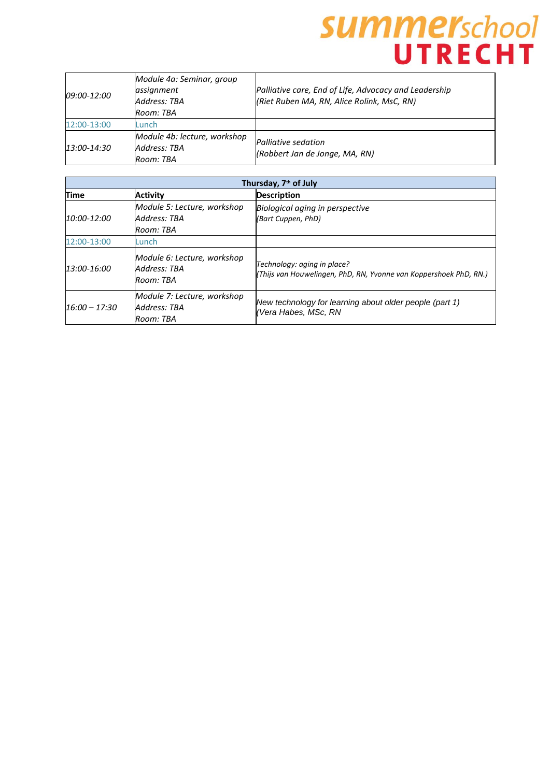| <i>09:00-12:00</i> | Module 4a: Seminar, group<br>assignment<br>Address: TBA<br>Room: TBA | Palliative care, End of Life, Advocacy and Leadership<br>(Riet Ruben MA, RN, Alice Rolink, MsC, RN) |
|--------------------|----------------------------------------------------------------------|-----------------------------------------------------------------------------------------------------|
| 12:00-13:00        | Lunch                                                                |                                                                                                     |
| 13:00-14:30        | Module 4b: lecture, workshop<br>Address: TBA<br>Room: TBA            | Palliative sedation<br>(Robbert Jan de Jonge, MA, RN)                                               |

| Thursday, 7th of July |                                                          |                                                                                                  |
|-----------------------|----------------------------------------------------------|--------------------------------------------------------------------------------------------------|
| <b>Time</b>           | <b>Activity</b>                                          | <b>Description</b>                                                                               |
| 10:00-12:00           | Module 5: Lecture, workshop<br>Address: TBA<br>Room: TBA | Biological aging in perspective<br>(Bart Cuppen, PhD)                                            |
| 12:00-13:00           | Lunch                                                    |                                                                                                  |
| 13:00-16:00           | Module 6: Lecture, workshop<br>Address: TBA<br>Room: TBA | Technology: aging in place?<br>(Thijs van Houwelingen, PhD, RN, Yvonne van Koppershoek PhD, RN.) |
| $16:00 - 17:30$       | Module 7: Lecture, workshop<br>Address: TBA<br>Room: TBA | New technology for learning about older people (part 1)<br>(Vera Habes, MSc, RN                  |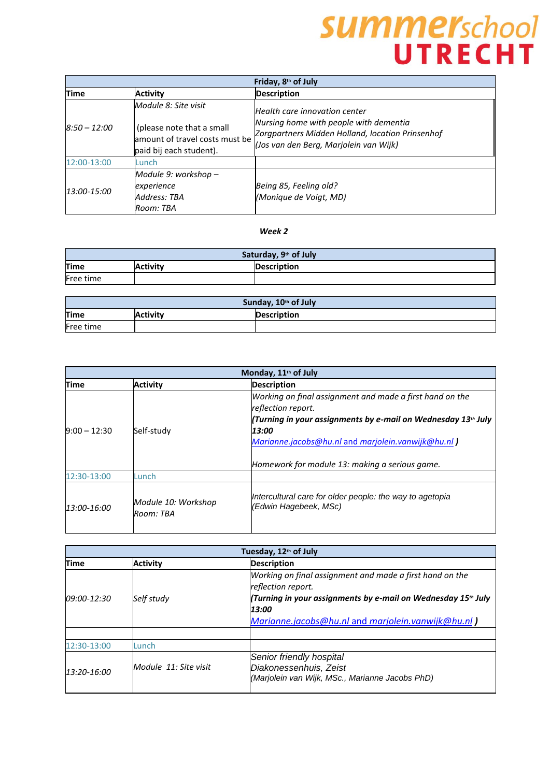| Friday, 8 <sup>th</sup> of July |                                                                                        |                                                                                                                                      |
|---------------------------------|----------------------------------------------------------------------------------------|--------------------------------------------------------------------------------------------------------------------------------------|
| Time                            | <b>Activity</b>                                                                        | <b>Description</b>                                                                                                                   |
|                                 | Module 8: Site visit                                                                   | Health care innovation center                                                                                                        |
| $8:50 - 12:00$                  | (please note that a small<br>amount of travel costs must be<br>paid bij each student). | Nursing home with people with dementia<br>Zorgpartners Midden Holland, location Prinsenhof<br>(Jos van den Berg, Marjolein van Wijk) |
| 12:00-13:00                     | Lunch                                                                                  |                                                                                                                                      |
| 13:00-15:00                     | Module 9: workshop –<br>experience<br>Address: TBA<br>Room: TBA                        | Being 85, Feeling old?<br>(Monique de Voigt, MD)                                                                                     |

#### *Week 2*

| Saturday, 9 <sup>th</sup> of July |                 |                    |
|-----------------------------------|-----------------|--------------------|
| <b>Time</b>                       | <b>Activity</b> | <b>Description</b> |
| Free time                         |                 |                    |

| Sunday, 10th of July |                 |                    |
|----------------------|-----------------|--------------------|
| <b>Time</b>          | <b>Activity</b> | <b>Description</b> |
| Free time            |                 |                    |

| Monday, 11 <sup>th</sup> of July |                                  |                                                                                   |
|----------------------------------|----------------------------------|-----------------------------------------------------------------------------------|
| <b>Time</b>                      | <b>Activity</b>                  | <b>Description</b>                                                                |
|                                  |                                  | Working on final assignment and made a first hand on the<br>reflection report.    |
|                                  |                                  | (Turning in your assignments by e-mail on Wednesday 13th July                     |
| $9:00 - 12:30$                   | Self-study                       | 13:00                                                                             |
|                                  |                                  | Marianne.jacobs@hu.nl and marjolein.vanwijk@hu.nl)                                |
|                                  |                                  | Homework for module 13: making a serious game.                                    |
| 12:30-13:00                      | Lunch                            |                                                                                   |
| 13:00-16:00                      | Module 10: Workshop<br>Room: TBA | Intercultural care for older people: the way to agetopia<br>(Edwin Hagebeek, MSc) |

| Tuesday, 12th of July |                       |                                                                                                                                                                                                                |
|-----------------------|-----------------------|----------------------------------------------------------------------------------------------------------------------------------------------------------------------------------------------------------------|
| Time                  | <b>Activity</b>       | <b>Description</b>                                                                                                                                                                                             |
| 09:00-12:30           | Self study            | Working on final assignment and made a first hand on the<br>reflection report.<br>(Turning in your assignments by e-mail on Wednesday 15th July<br>13:00<br>Marianne.jacobs@hu.nl and marjolein.vanwijk@hu.nl) |
| 12:30-13:00           | Lunch                 |                                                                                                                                                                                                                |
| 13:20-16:00           | Module 11: Site visit | Senior friendly hospital<br>Diakonessenhuis, Zeist<br>(Marjolein van Wijk, MSc., Marianne Jacobs PhD)                                                                                                          |